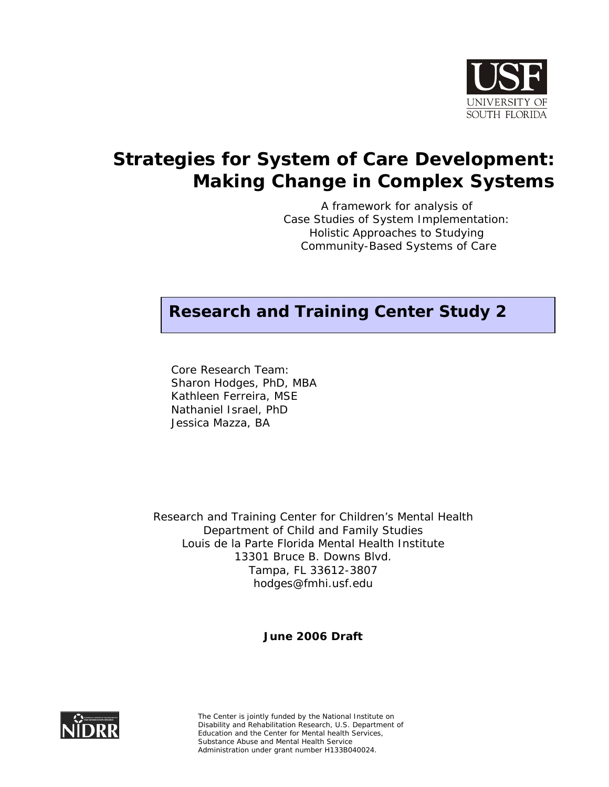

# **Strategies for System of Care Development: Making Change in Complex Systems**

A framework for analysis of *Case Studies of System Implementation: Holistic Approaches to Studying Community-Based Systems of Care*

# **Research and Training Center Study 2**

Core Research Team: Sharon Hodges, PhD, MBA Kathleen Ferreira, MSE Nathaniel Israel, PhD Jessica Mazza, BA

Research and Training Center for Children's Mental Health Department of Child and Family Studies Louis de la Parte Florida Mental Health Institute 13301 Bruce B. Downs Blvd. Tampa, FL 33612-3807 hodges@fmhi.usf.edu

**June 2006 Draft** 



The Center is jointly funded by the National Institute on Disability and Rehabilitation Research, U.S. Department of Education and the Center for Mental health Services, Substance Abuse and Mental Health Service Administration under grant number H133B040024.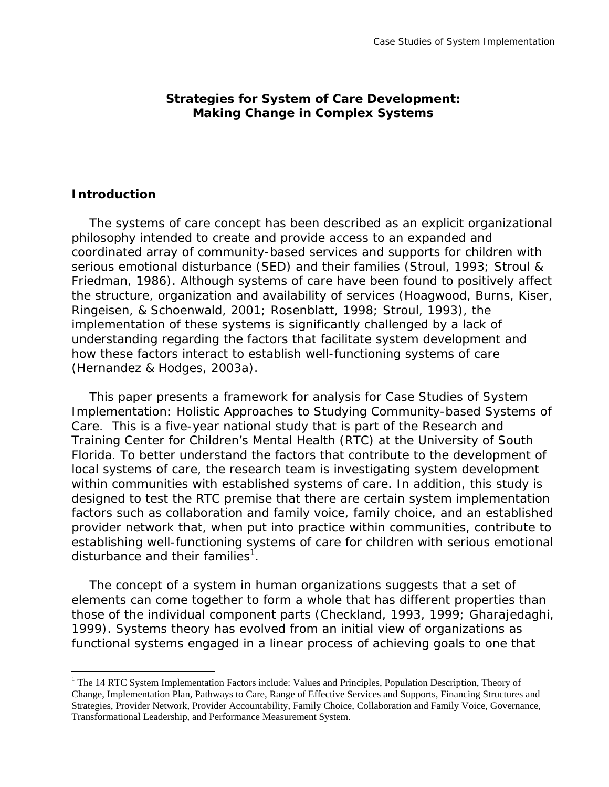# **Strategies for System of Care Development: Making Change in Complex Systems**

#### **Introduction**

 $\overline{a}$ 

The systems of care concept has been described as an explicit organizational philosophy intended to create and provide access to an expanded and coordinated array of community-based services and supports for children with serious emotional disturbance (SED) and their families (Stroul, 1993; Stroul & Friedman, 1986). Although systems of care have been found to positively affect the structure, organization and availability of services (Hoagwood, Burns, Kiser, Ringeisen, & Schoenwald, 2001; Rosenblatt, 1998; Stroul, 1993), the implementation of these systems is significantly challenged by a lack of understanding regarding the factors that facilitate system development and how these factors interact to establish well-functioning systems of care (Hernandez & Hodges, 2003a).

This paper presents a framework for analysis for *Case Studies of System Implementation: Holistic Approaches to Studying Community-based Systems of Care*. This is a five-year national study that is part of the Research and Training Center for Children's Mental Health (RTC) at the University of South Florida. To better understand the factors that contribute to the development of local systems of care, the research team is investigating system development within communities with established systems of care. In addition, this study is designed to test the RTC premise that there are certain system implementation factors such as collaboration and family voice, family choice, and an established provider network that, when put into practice within communities, contribute to establishing well-functioning systems of care for children with serious emotional disturbance and their families<sup>1</sup>.

The concept of a system in human organizations suggests that a set of elements can come together to form a whole that has different properties than those of the individual component parts (Checkland, 1993, 1999; Gharajedaghi, 1999). Systems theory has evolved from an initial view of organizations as functional systems engaged in a linear process of achieving goals to one that

<span id="page-1-0"></span><sup>&</sup>lt;sup>1</sup> The 14 RTC System Implementation Factors include: Values and Principles, Population Description, Theory of Change, Implementation Plan, Pathways to Care, Range of Effective Services and Supports, Financing Structures and Strategies, Provider Network, Provider Accountability, Family Choice, Collaboration and Family Voice, Governance, Transformational Leadership, and Performance Measurement System.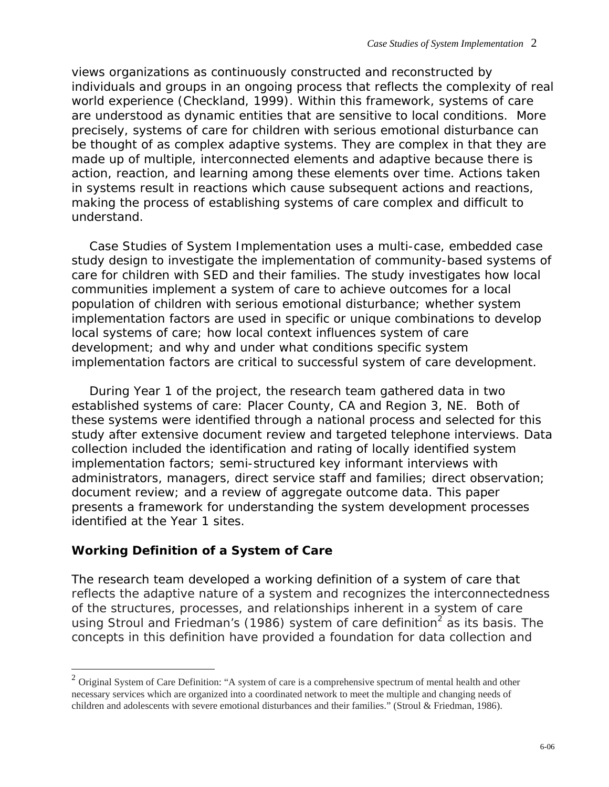views organizations as continuously constructed and reconstructed by individuals and groups in an ongoing process that reflects the complexity of real world experience (Checkland, 1999). Within this framework, systems of care are understood as dynamic entities that are sensitive to local conditions. More precisely, systems of care for children with serious emotional disturbance can be thought of as complex adaptive systems. They are complex in that they are made up of multiple, interconnected elements and adaptive because there is action, reaction, and learning among these elements over time. Actions taken in systems result in reactions which cause subsequent actions and reactions, making the process of establishing systems of care complex and difficult to understand.

*Case Studies of System Implementation* uses a multi-case, embedded case study design to investigate the implementation of community-based systems of care for children with SED and their families. The study investigates how local communities implement a system of care to achieve outcomes for a local population of children with serious emotional disturbance; whether system implementation factors are used in specific or unique combinations to develop local systems of care; how local context influences system of care development; and why and under what conditions specific system implementation factors are critical to successful system of care development.

During Year 1 of the project, the research team gathered data in two established systems of care: Placer County, CA and Region 3, NE. Both of these systems were identified through a national process and selected for this study after extensive document review and targeted telephone interviews. Data collection included the identification and rating of locally identified system implementation factors; semi-structured key informant interviews with administrators, managers, direct service staff and families; direct observation; document review; and a review of aggregate outcome data. This paper presents a framework for understanding the system development processes identified at the Year 1 sites.

# **Working Definition of a System of Care**

1

The research team developed a working definition of a system of care that reflects the adaptive nature of a system and recognizes the interconnectedness of the structures, processes, and relationships inherent in a system of care using Stroul and Friedman's (1986) system of care definition<sup>[2](#page-2-0)</sup> as its basis. The concepts in this definition have provided a foundation for data collection and

<span id="page-2-0"></span><sup>&</sup>lt;sup>2</sup> Original System of Care Definition: "A system of care is a comprehensive spectrum of mental health and other necessary services which are organized into a coordinated network to meet the multiple and changing needs of children and adolescents with severe emotional disturbances and their families." (Stroul & Friedman, 1986).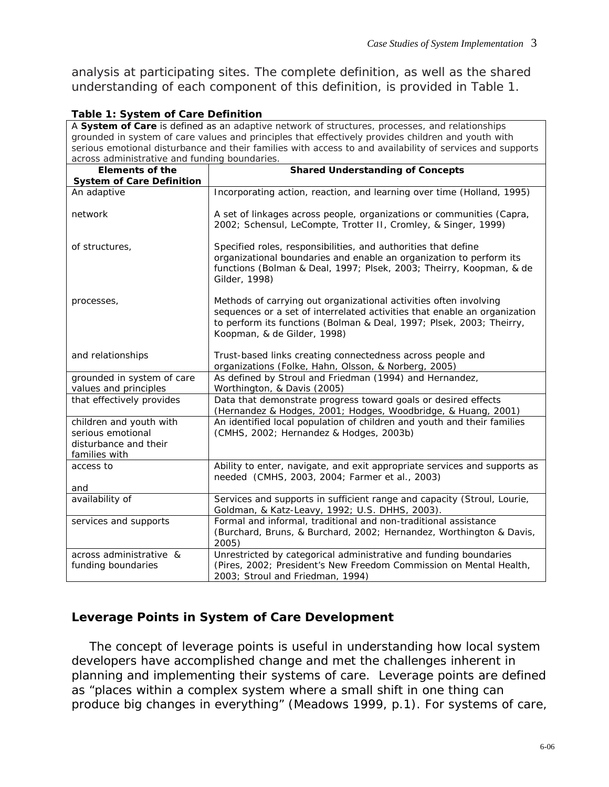analysis at participating sites. The complete definition, as well as the shared understanding of each component of this definition, is provided in Table 1.

| Table 1: System of Care Definition                                                                        |                                                                                                                                                                                                                                                       |  |
|-----------------------------------------------------------------------------------------------------------|-------------------------------------------------------------------------------------------------------------------------------------------------------------------------------------------------------------------------------------------------------|--|
| A System of Care is defined as an adaptive network of structures, processes, and relationships            |                                                                                                                                                                                                                                                       |  |
| grounded in system of care values and principles that effectively provides children and youth with        |                                                                                                                                                                                                                                                       |  |
| serious emotional disturbance and their families with access to and availability of services and supports |                                                                                                                                                                                                                                                       |  |
| across administrative and funding boundaries.                                                             |                                                                                                                                                                                                                                                       |  |
| <b>Elements of the</b>                                                                                    | <b>Shared Understanding of Concepts</b>                                                                                                                                                                                                               |  |
| <b>System of Care Definition</b>                                                                          |                                                                                                                                                                                                                                                       |  |
| An adaptive                                                                                               | Incorporating action, reaction, and learning over time (Holland, 1995)                                                                                                                                                                                |  |
| network                                                                                                   | A set of linkages across people, organizations or communities (Capra,<br>2002; Schensul, LeCompte, Trotter II, Cromley, & Singer, 1999)                                                                                                               |  |
| of structures,                                                                                            | Specified roles, responsibilities, and authorities that define<br>organizational boundaries and enable an organization to perform its<br>functions (Bolman & Deal, 1997; Plsek, 2003; Theirry, Koopman, & de<br>Gilder, 1998)                         |  |
| processes,                                                                                                | Methods of carrying out organizational activities often involving<br>sequences or a set of interrelated activities that enable an organization<br>to perform its functions (Bolman & Deal, 1997; Plsek, 2003; Theirry,<br>Koopman, & de Gilder, 1998) |  |
| and relationships                                                                                         | Trust-based links creating connectedness across people and<br>organizations (Folke, Hahn, Olsson, & Norberg, 2005)                                                                                                                                    |  |
| grounded in system of care<br>values and principles                                                       | As defined by Stroul and Friedman (1994) and Hernandez,<br>Worthington, & Davis (2005)                                                                                                                                                                |  |
| that effectively provides                                                                                 | Data that demonstrate progress toward goals or desired effects<br>(Hernandez & Hodges, 2001; Hodges, Woodbridge, & Huang, 2001)                                                                                                                       |  |
| children and youth with<br>serious emotional<br>disturbance and their<br>families with                    | An identified local population of children and youth and their families<br>(CMHS, 2002; Hernandez & Hodges, 2003b)                                                                                                                                    |  |
| access to                                                                                                 | Ability to enter, navigate, and exit appropriate services and supports as<br>needed (CMHS, 2003, 2004; Farmer et al., 2003)                                                                                                                           |  |
| and                                                                                                       |                                                                                                                                                                                                                                                       |  |
| availability of                                                                                           | Services and supports in sufficient range and capacity (Stroul, Lourie,<br>Goldman, & Katz-Leavy, 1992; U.S. DHHS, 2003).                                                                                                                             |  |
| services and supports                                                                                     | Formal and informal, traditional and non-traditional assistance<br>(Burchard, Bruns, & Burchard, 2002; Hernandez, Worthington & Davis,<br>2005)                                                                                                       |  |
| across administrative &<br>funding boundaries                                                             | Unrestricted by categorical administrative and funding boundaries<br>(Pires, 2002; President's New Freedom Commission on Mental Health,<br>2003; Stroul and Friedman, 1994)                                                                           |  |

#### **Table 1: System of Care Definition**

# **Leverage Points in System of Care Development**

The concept of leverage points is useful in understanding how local system developers have accomplished change and met the challenges inherent in planning and implementing their systems of care. Leverage points are defined as "places within a complex system where a small shift in one thing can produce big changes in everything" (Meadows 1999, p.1). For systems of care,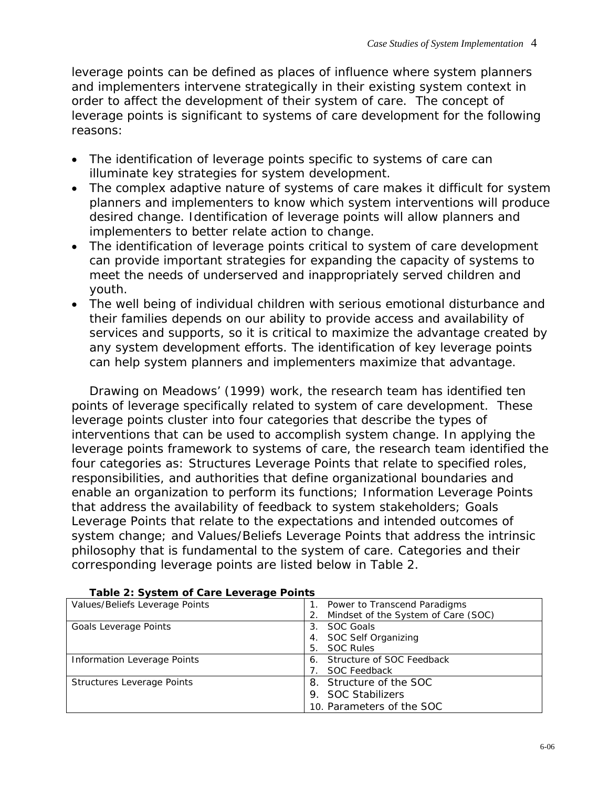leverage points can be defined as places of influence where system planners and implementers intervene strategically in their existing system context in order to affect the development of their system of care. The concept of leverage points is significant to systems of care development for the following reasons:

- The identification of leverage points specific to systems of care can illuminate key strategies for system development.
- The complex adaptive nature of systems of care makes it difficult for system planners and implementers to know which system interventions will produce desired change. Identification of leverage points will allow planners and implementers to better relate action to change.
- The identification of leverage points critical to system of care development can provide important strategies for expanding the capacity of systems to meet the needs of underserved and inappropriately served children and youth.
- The well being of individual children with serious emotional disturbance and their families depends on our ability to provide access and availability of services and supports, so it is critical to maximize the advantage created by any system development efforts. The identification of key leverage points can help system planners and implementers maximize that advantage.

Drawing on Meadows' (1999) work, the research team has identified ten points of leverage specifically related to system of care development. These leverage points cluster into four categories that describe the types of interventions that can be used to accomplish system change. In applying the leverage points framework to systems of care, the research team identified the four categories as: Structures Leverage Points that relate to specified roles, responsibilities, and authorities that define organizational boundaries and enable an organization to perform its functions; Information Leverage Points that address the availability of feedback to system stakeholders; Goals Leverage Points that relate to the expectations and intended outcomes of system change; and Values/Beliefs Leverage Points that address the intrinsic philosophy that is fundamental to the system of care. Categories and their corresponding leverage points are listed below in Table 2.

| Values/Beliefs Leverage Points | Power to Transcend Paradigms        |
|--------------------------------|-------------------------------------|
|                                | Mindset of the System of Care (SOC) |
| Goals Leverage Points          | <b>SOC Goals</b><br>3 <sub>1</sub>  |
|                                | SOC Self Organizing<br>4.           |
|                                | <b>SOC Rules</b><br>5.              |
| Information Leverage Points    | Structure of SOC Feedback<br>6.     |
|                                | <b>SOC Feedback</b>                 |
| Structures Leverage Points     | 8. Structure of the SOC             |
|                                | 9. SOC Stabilizers                  |
|                                | 10. Parameters of the SOC           |

#### **Table 2: System of Care Leverage Points 1. Points 1. Points 1. Power to Transcend Paradigms**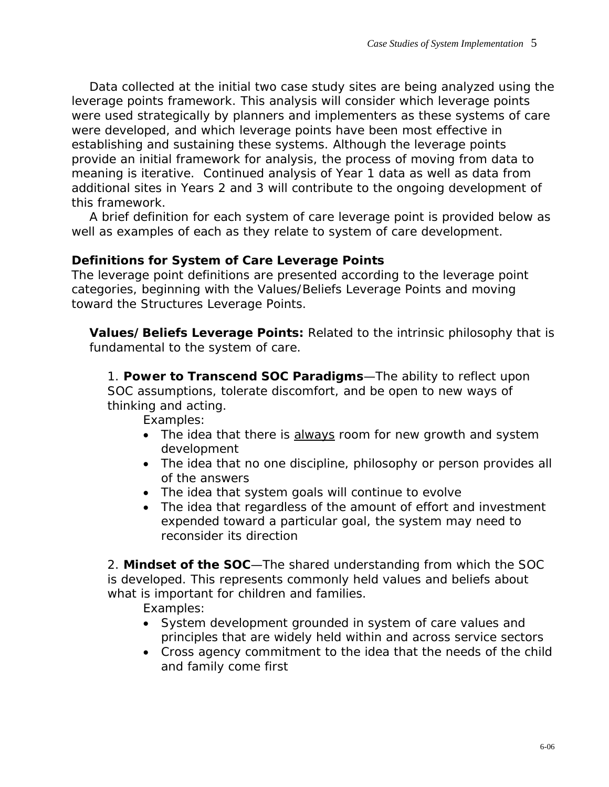Data collected at the initial two case study sites are being analyzed using the leverage points framework. This analysis will consider which leverage points were used strategically by planners and implementers as these systems of care were developed, and which leverage points have been most effective in establishing and sustaining these systems. Although the leverage points provide an initial framework for analysis, the process of moving from data to meaning is iterative. Continued analysis of Year 1 data as well as data from additional sites in Years 2 and 3 will contribute to the ongoing development of this framework.

A brief definition for each system of care leverage point is provided below as well as examples of each as they relate to system of care development.

# **Definitions for System of Care Leverage Points**

The leverage point definitions are presented according to the leverage point categories, beginning with the Values/Beliefs Leverage Points and moving toward the Structures Leverage Points.

**Values/Beliefs Leverage Points:** Related to the intrinsic philosophy that is fundamental to the system of care.

1. **Power to Transcend SOC Paradigms**—The ability to reflect upon SOC assumptions, tolerate discomfort, and be open to new ways of thinking and acting.

Examples:

- The idea that there is always room for new growth and system development
- The idea that no one discipline, philosophy or person provides all of the answers
- The idea that system goals will continue to evolve
- The idea that regardless of the amount of effort and investment expended toward a particular goal, the system may need to reconsider its direction

2. **Mindset of the SOC**—The shared understanding from which the SOC is developed. This represents commonly held values and beliefs about what is important for children and families.

Examples:

- System development grounded in system of care values and principles that are widely held within and across service sectors
- Cross agency commitment to the idea that the needs of the child and family come first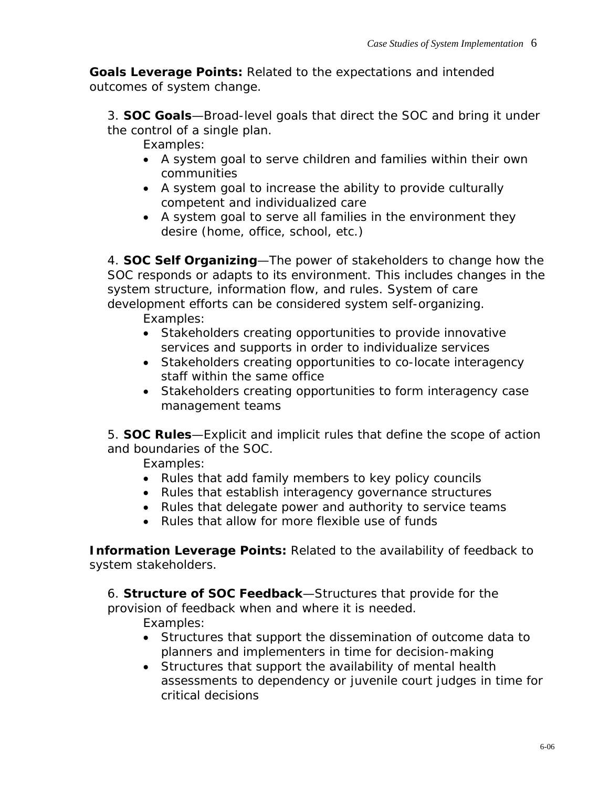**Goals Leverage Points:** Related to the expectations and intended outcomes of system change.

3. **SOC Goals**—Broad-level goals that direct the SOC and bring it under the control of a single plan.

Examples:

- A system goal to serve children and families within their own communities
- A system goal to increase the ability to provide culturally competent and individualized care
- A system goal to serve all families in the environment they desire (home, office, school, etc.)

4. **SOC Self Organizing**—The power of stakeholders to change how the SOC responds or adapts to its environment. This includes changes in the system structure, information flow, and rules. System of care development efforts can be considered system self-organizing.

Examples:

- Stakeholders creating opportunities to provide innovative services and supports in order to individualize services
- Stakeholders creating opportunities to co-locate interagency staff within the same office
- Stakeholders creating opportunities to form interagency case management teams

5. **SOC Rules**—Explicit and implicit rules that define the scope of action and boundaries of the SOC.

Examples:

- Rules that add family members to key policy councils
- Rules that establish interagency governance structures
- Rules that delegate power and authority to service teams
- Rules that allow for more flexible use of funds

**Information Leverage Points: Related to the availability of feedback to** system stakeholders.

6. **Structure of SOC Feedback**—Structures that provide for the provision of feedback when and where it is needed.

Examples:

- Structures that support the dissemination of outcome data to planners and implementers in time for decision-making
- Structures that support the availability of mental health assessments to dependency or juvenile court judges in time for critical decisions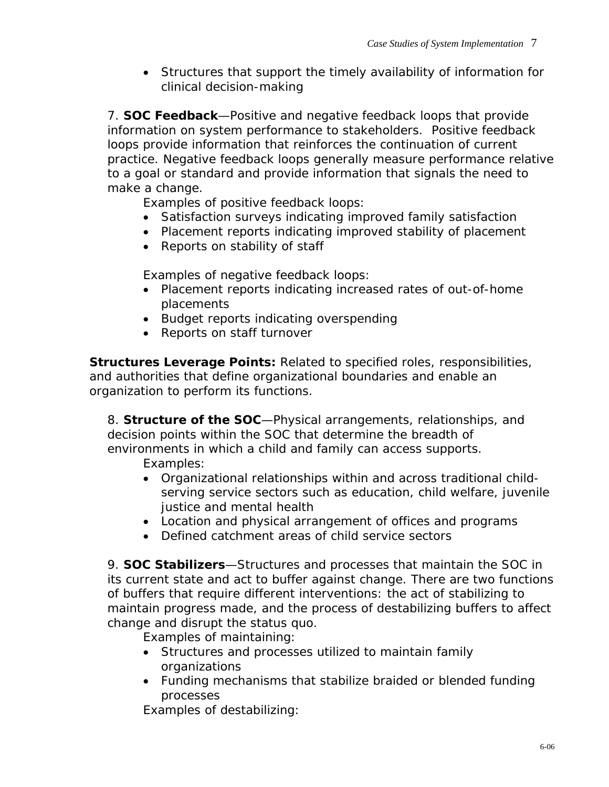• Structures that support the timely availability of information for clinical decision-making

7. **SOC Feedback**—Positive and negative feedback loops that provide information on system performance to stakeholders. Positive feedback loops provide information that reinforces the continuation of current practice. Negative feedback loops generally measure performance relative to a goal or standard and provide information that signals the need to make a change.

Examples of positive feedback loops:

- Satisfaction surveys indicating improved family satisfaction
- Placement reports indicating improved stability of placement
- Reports on stability of staff

Examples of negative feedback loops:

- Placement reports indicating increased rates of out-of-home placements
- Budget reports indicating overspending
- Reports on staff turnover

**Structures Leverage Points:** Related to specified roles, responsibilities, and authorities that define organizational boundaries and enable an organization to perform its functions.

8. **Structure of the SOC**—Physical arrangements, relationships, and decision points within the SOC that determine the breadth of environments in which a child and family can access supports.

Examples:

- Organizational relationships within and across traditional childserving service sectors such as education, child welfare, juvenile justice and mental health
- Location and physical arrangement of offices and programs
- Defined catchment areas of child service sectors

9. **SOC Stabilizers**—Structures and processes that maintain the SOC in its current state and act to buffer against change. There are two functions of buffers that require different interventions: the act of stabilizing to maintain progress made, and the process of destabilizing buffers to affect change and disrupt the status quo.

Examples of maintaining:

- Structures and processes utilized to maintain family organizations
- Funding mechanisms that stabilize braided or blended funding processes

Examples of destabilizing: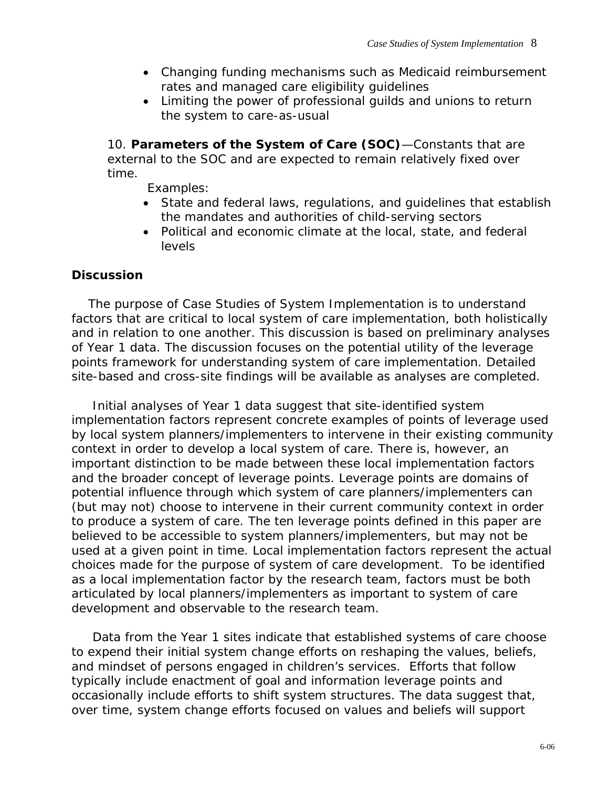- Changing funding mechanisms such as Medicaid reimbursement rates and managed care eligibility guidelines
- Limiting the power of professional guilds and unions to return the system to care-as-usual

10. **Parameters of the System of Care (SOC)**—Constants that are external to the SOC and are expected to remain relatively fixed over time.

Examples:

- State and federal laws, regulations, and guidelines that establish the mandates and authorities of child-serving sectors
- Political and economic climate at the local, state, and federal levels

# **Discussion**

 The purpose of *Case Studies of System Implementation* is to understand factors that are critical to local system of care implementation, both holistically and in relation to one another. This discussion is based on preliminary analyses of Year 1 data. The discussion focuses on the potential utility of the leverage points framework for understanding system of care implementation. Detailed site-based and cross-site findings will be available as analyses are completed.

 Initial analyses of Year 1 data suggest that site-identified system implementation factors represent concrete examples of points of leverage used by local system planners/implementers to intervene in their existing community context in order to develop a local system of care. There is, however, an important distinction to be made between these local implementation factors and the broader concept of leverage points. Leverage points are domains of potential influence through which system of care planners/implementers *can* (but may not) choose to intervene in their current community context in order to produce a system of care. The ten leverage points defined in this paper are believed to be accessible to system planners/implementers, but may not be used at a given point in time. Local implementation factors represent the *actual* choices made for the purpose of system of care development. To be identified as a local implementation factor by the research team, factors must be both articulated by local planners/implementers as important to system of care development and observable to the research team.

 Data from the Year 1 sites indicate that established systems of care choose to expend their initial system change efforts on reshaping the values, beliefs, and mindset of persons engaged in children's services. Efforts that follow typically include enactment of goal and information leverage points and occasionally include efforts to shift system structures. The data suggest that, over time, system change efforts focused on values and beliefs will support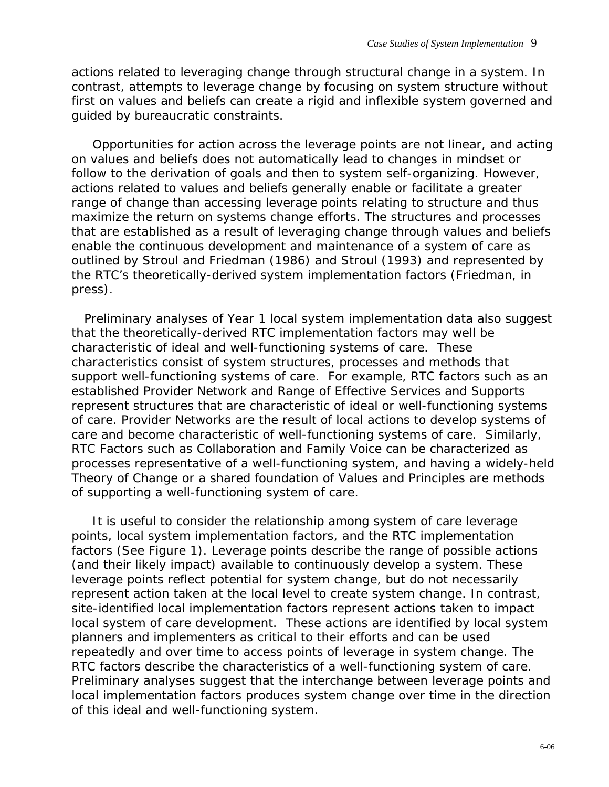actions related to leveraging change through structural change in a system. In contrast, attempts to leverage change by focusing on system structure without first on values and beliefs can create a rigid and inflexible system governed and guided by bureaucratic constraints.

 Opportunities for action across the leverage points are not linear, and acting on values and beliefs does not automatically lead to changes in mindset or follow to the derivation of goals and then to system self-organizing. However, actions related to values and beliefs generally enable or facilitate a greater range of change than accessing leverage points relating to structure and thus maximize the return on systems change efforts. The structures and processes that are established as a result of leveraging change through values and beliefs enable the continuous development and maintenance of a system of care as outlined by Stroul and Friedman (1986) and Stroul (1993) and represented by the RTC's theoretically-derived system implementation factors (Friedman, in press).

 Preliminary analyses of Year 1 local system implementation data also suggest that the theoretically-derived RTC implementation factors may well be characteristic of ideal and well-functioning systems of care. These characteristics consist of system structures, processes and methods that support well-functioning systems of care. For example, RTC factors such as an established Provider Network and Range of Effective Services and Supports represent structures that are characteristic of ideal or well-functioning systems of care. Provider Networks are the result of local actions to develop systems of care and become characteristic of well-functioning systems of care. Similarly, RTC Factors such as Collaboration and Family Voice can be characterized as processes representative of a well-functioning system, and having a widely-held Theory of Change or a shared foundation of Values and Principles are methods of supporting a well-functioning system of care.

 It is useful to consider the relationship among system of care leverage points, local system implementation factors, and the RTC implementation factors (See Figure 1). Leverage points describe the range of possible actions (and their likely impact) available to continuously develop a system. These leverage points reflect potential for system change, but do not necessarily represent action taken at the local level to create system change. In contrast, site-identified local implementation factors represent actions taken to impact local system of care development. These actions are identified by local system planners and implementers as critical to their efforts and can be used repeatedly and over time to access points of leverage in system change. The RTC factors describe the characteristics of a well-functioning system of care. Preliminary analyses suggest that the interchange between leverage points and local implementation factors produces system change over time in the direction of this ideal and well-functioning system.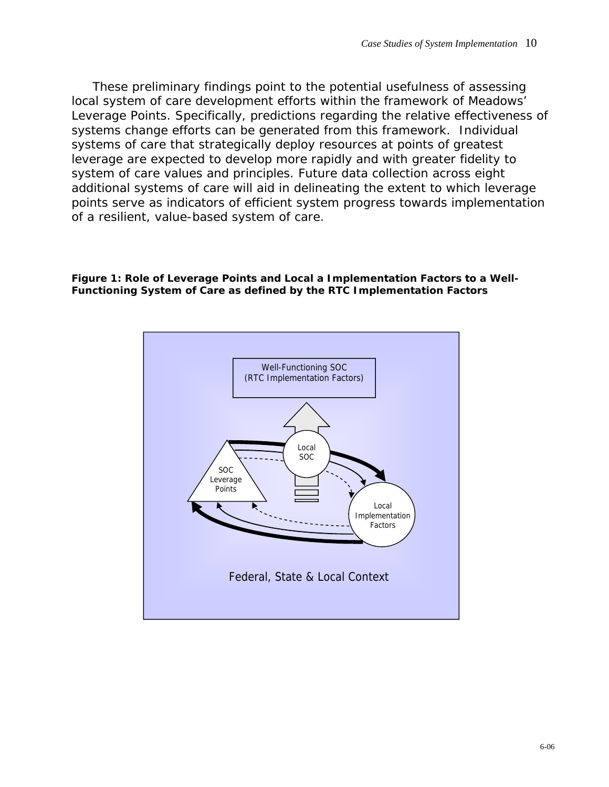These preliminary findings point to the potential usefulness of assessing local system of care development efforts within the framework of Meadows' Leverage Points. Specifically, predictions regarding the relative effectiveness of systems change efforts can be generated from this framework. Individual systems of care that strategically deploy resources at points of greatest leverage are expected to develop more rapidly and with greater fidelity to system of care values and principles. Future data collection across eight additional systems of care will aid in delineating the extent to which leverage points serve as indicators of efficient system progress towards implementation of a resilient, value-based system of care.

**Figure 1: Role of Leverage Points and Local a Implementation Factors to a Well-Functioning System of Care as defined by the RTC Implementation Factors** 

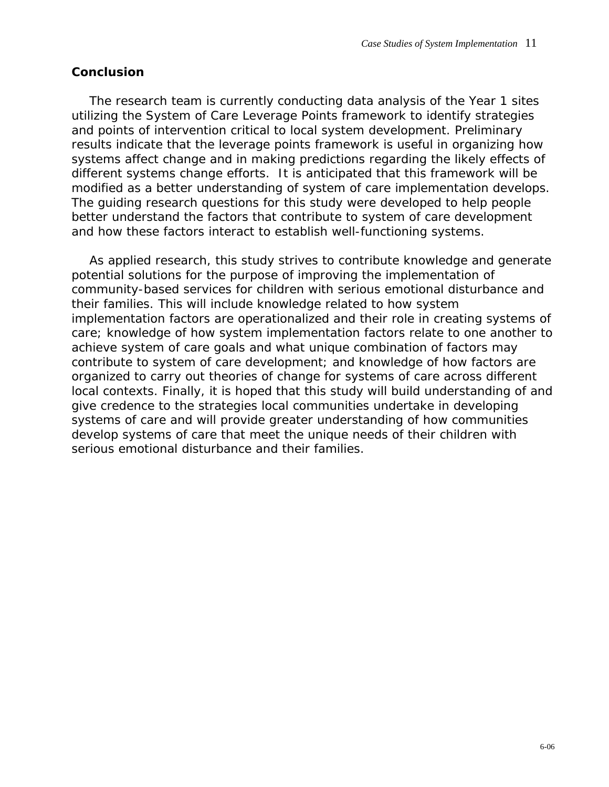#### **Conclusion**

The research team is currently conducting data analysis of the Year 1 sites utilizing the System of Care Leverage Points framework to identify strategies and points of intervention critical to local system development. Preliminary results indicate that the leverage points framework is useful in organizing how systems affect change and in making predictions regarding the likely effects of different systems change efforts. It is anticipated that this framework will be modified as a better understanding of system of care implementation develops. The guiding research questions for this study were developed to help people better understand the factors that contribute to system of care development and how these factors interact to establish well-functioning systems.

As applied research, this study strives to contribute knowledge and generate potential solutions for the purpose of improving the implementation of community-based services for children with serious emotional disturbance and their families. This will include knowledge related to how system implementation factors are operationalized and their role in creating systems of care; knowledge of how system implementation factors relate to one another to achieve system of care goals and what unique combination of factors may contribute to system of care development; and knowledge of how factors are organized to carry out theories of change for systems of care across different local contexts. Finally, it is hoped that this study will build understanding of and give credence to the strategies local communities undertake in developing systems of care and will provide greater understanding of how communities develop systems of care that meet the unique needs of their children with serious emotional disturbance and their families.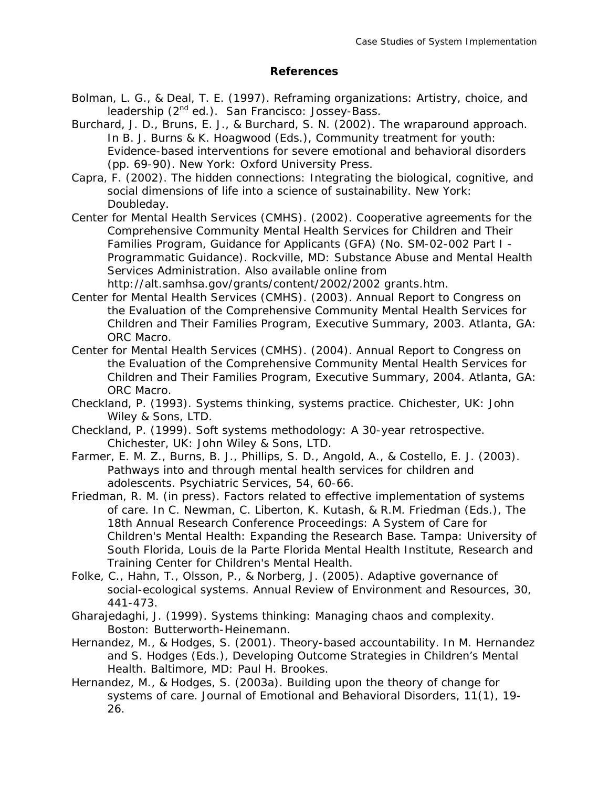#### **References**

- Bolman, L. G., & Deal, T. E. (1997). *Reframing organizations: Artistry, choice, and leadership (2nd ed.).* San Francisco: Jossey-Bass.
- Burchard, J. D., Bruns, E. J., & Burchard, S. N. (2002). The wraparound approach. In B. J. Burns & K. Hoagwood (Eds.), *Community treatment for youth: Evidence-based interventions for severe emotional and behavioral disorders* (pp. 69-90). New York: Oxford University Press.
- Capra, F. (2002). *The hidden connections: Integrating the biological, cognitive, and social dimensions of life into a science of sustainability*. New York: Doubleday.
- Center for Mental Health Services (CMHS). (2002). *Cooperative agreements for the Comprehensive Community Mental Health Services for Children and Their Families Program, Guidance for Applicants (GFA) (No. SM-02-002 Part I - Programmatic Guidance).* Rockville, MD: Substance Abuse and Mental Health Services Administration. Also available online from http://alt.samhsa.gov/grants/content/2002/2002 grants.htm.
- Center for Mental Health Services (CMHS). (2003). *Annual Report to Congress on the Evaluation of the Comprehensive Community Mental Health Services for Children and Their Families Program, Executive Summary, 2003*. Atlanta, GA: ORC Macro.
- Center for Mental Health Services (CMHS). (2004). *Annual Report to Congress on the Evaluation of the Comprehensive Community Mental Health Services for Children and Their Families Program, Executive Summary, 2004.* Atlanta, GA: ORC Macro.
- Checkland, P. (1993). *Systems thinking, systems practice.* Chichester, UK: John Wiley & Sons, LTD.
- Checkland, P. (1999). *Soft systems methodology: A 30-year retrospective.* Chichester, UK: John Wiley & Sons, LTD.
- Farmer, E. M. Z., Burns, B. J., Phillips, S. D., Angold, A., & Costello, E. J. (2003). Pathways into and through mental health services for children and adolescents. *Psychiatric Services, 54*, 60-66.
- Friedman, R. M. (in press). Factors related to effective implementation of systems of care. In C. Newman, C. Liberton, K. Kutash, & R.M. Friedman (Eds.), *The 18th Annual Research Conference Proceedings: A System of Care for Children's Mental Health: Expanding the Research Base*. Tampa: University of South Florida, Louis de la Parte Florida Mental Health Institute, Research and Training Center for Children's Mental Health.
- Folke, C., Hahn, T., Olsson, P., & Norberg, J. (2005). Adaptive governance of social-ecological systems. *Annual Review of Environment and Resources, 30*, 441-473.
- Gharajedaghi, J. (1999). *Systems thinking: Managing chaos and complexity*. Boston: Butterworth-Heinemann.
- Hernandez, M., & Hodges, S. (2001). Theory-based accountability. In M. Hernandez and S. Hodges (Eds.), *Developing Outcome Strategies in Children's Mental Health*. Baltimore, MD: Paul H. Brookes.
- Hernandez, M., & Hodges, S. (2003a). Building upon the theory of change for systems of care. *Journal of Emotional and Behavioral Disorders, 11*(1), 19- 26.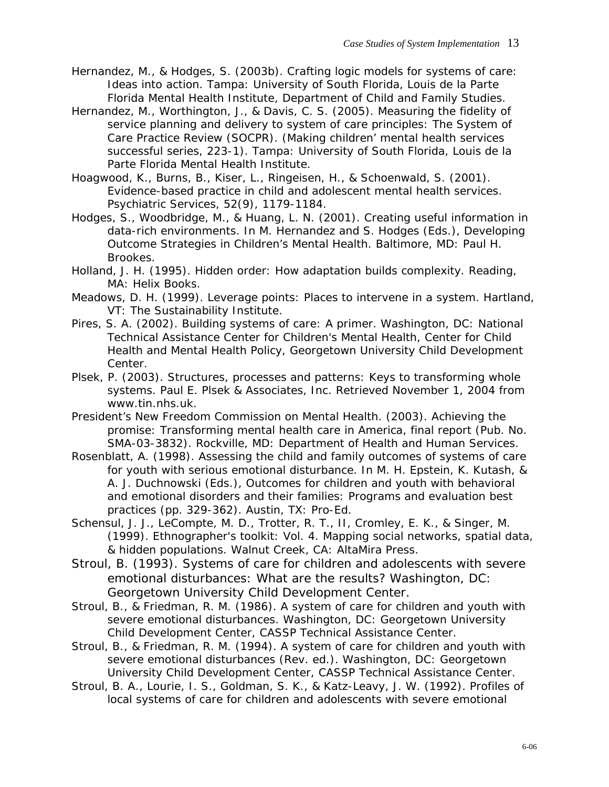- Hernandez, M., & Hodges, S. (2003b). *Crafting logic models for systems of care: Ideas into action.* Tampa: University of South Florida, Louis de la Parte Florida Mental Health Institute, Department of Child and Family Studies.
- Hernandez, M., Worthington, J., & Davis, C. S. (2005). *Measuring the fidelity of service planning and delivery to system of care principles: The System of Care Practice Review (SOCPR). (Making children' mental health services successful series, 223-1).* Tampa: University of South Florida, Louis de la Parte Florida Mental Health Institute.
- Hoagwood, K., Burns, B., Kiser, L., Ringeisen, H., & Schoenwald, S. (2001). Evidence-based practice in child and adolescent mental health services. *Psychiatric Services, 52*(9), 1179-1184.
- Hodges, S., Woodbridge, M., & Huang, L. N. (2001). Creating useful information in data-rich environments. In M. Hernandez and S. Hodges (Eds.), *Developing Outcome Strategies in Children's Mental Health*. Baltimore, MD: Paul H. Brookes.
- Holland, J. H. (1995). *Hidden order: How adaptation builds complexity*. Reading, MA: Helix Books.
- Meadows, D. H. (1999). *Leverage points: Places to intervene in a system*. Hartland, VT: The Sustainability Institute.
- Pires, S. A. (2002). *Building systems of care: A primer*. Washington, DC: National Technical Assistance Center for Children's Mental Health, Center for Child Health and Mental Health Policy, Georgetown University Child Development Center.
- Plsek, P. (2003). *Structures, processes and patterns: Keys to transforming whole systems.* Paul E. Plsek & Associates, Inc. Retrieved November 1, 2004 from www.tin.nhs.uk.
- President's New Freedom Commission on Mental Health. (2003). *Achieving the promise: Transforming mental health care in America, final report (Pub. No. SMA-03-3832)*. Rockville, MD: Department of Health and Human Services.
- Rosenblatt, A. (1998). Assessing the child and family outcomes of systems of care for youth with serious emotional disturbance. In M. H. Epstein, K. Kutash, & A. J. Duchnowski (Eds.), *Outcomes for children and youth with behavioral and emotional disorders and their families: Programs and evaluation best practices (pp. 329-362)*. Austin, TX: Pro-Ed.
- Schensul, J. J., LeCompte, M. D., Trotter, R. T., II, Cromley, E. K., & Singer, M. (1999). *Ethnographer's toolkit: Vol. 4. Mapping social networks, spatial data, & hidden populations*. Walnut Creek, CA: AltaMira Press.
- Stroul, B. (1993). Systems of care for children and adolescents with severe emotional disturbances: What are the results? Washington, DC: Georgetown University Child Development Center.
- Stroul, B., & Friedman, R. M. (1986). *A system of care for children and youth with severe emotional disturbances.* Washington, DC: Georgetown University Child Development Center, CASSP Technical Assistance Center.
- Stroul, B., & Friedman, R. M. (1994). *A system of care for children and youth with severe emotional disturbances (Rev. ed.).* Washington, DC: Georgetown University Child Development Center, CASSP Technical Assistance Center.
- Stroul, B. A., Lourie, I. S., Goldman, S. K., & Katz-Leavy, J. W. (1992). *Profiles of local systems of care for children and adolescents with severe emotional*